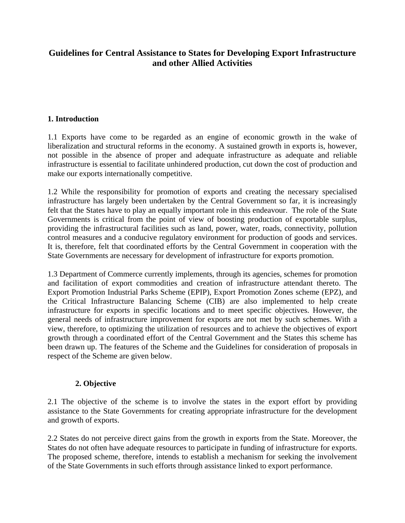# **Guidelines for Central Assistance to States for Developing Export Infrastructure and other Allied Activities**

### **1. Introduction**

1.1 Exports have come to be regarded as an engine of economic growth in the wake of liberalization and structural reforms in the economy. A sustained growth in exports is, however, not possible in the absence of proper and adequate infrastructure as adequate and reliable infrastructure is essential to facilitate unhindered production, cut down the cost of production and make our exports internationally competitive.

1.2 While the responsibility for promotion of exports and creating the necessary specialised infrastructure has largely been undertaken by the Central Government so far, it is increasingly felt that the States have to play an equally important role in this endeavour. The role of the State Governments is critical from the point of view of boosting production of exportable surplus, providing the infrastructural facilities such as land, power, water, roads, connectivity, pollution control measures and a conducive regulatory environment for production of goods and services. It is, therefore, felt that coordinated efforts by the Central Government in cooperation with the State Governments are necessary for development of infrastructure for exports promotion.

1.3 Department of Commerce currently implements, through its agencies, schemes for promotion and facilitation of export commodities and creation of infrastructure attendant thereto. The Export Promotion Industrial Parks Scheme (EPIP), Export Promotion Zones scheme (EPZ), and the Critical Infrastructure Balancing Scheme (CIB) are also implemented to help create infrastructure for exports in specific locations and to meet specific objectives. However, the general needs of infrastructure improvement for exports are not met by such schemes. With a view, therefore, to optimizing the utilization of resources and to achieve the objectives of export growth through a coordinated effort of the Central Government and the States this scheme has been drawn up. The features of the Scheme and the Guidelines for consideration of proposals in respect of the Scheme are given below.

### **2. Objective**

2.1 The objective of the scheme is to involve the states in the export effort by providing assistance to the State Governments for creating appropriate infrastructure for the development and growth of exports.

2.2 States do not perceive direct gains from the growth in exports from the State. Moreover, the States do not often have adequate resources to participate in funding of infrastructure for exports. The proposed scheme, therefore, intends to establish a mechanism for seeking the involvement of the State Governments in such efforts through assistance linked to export performance.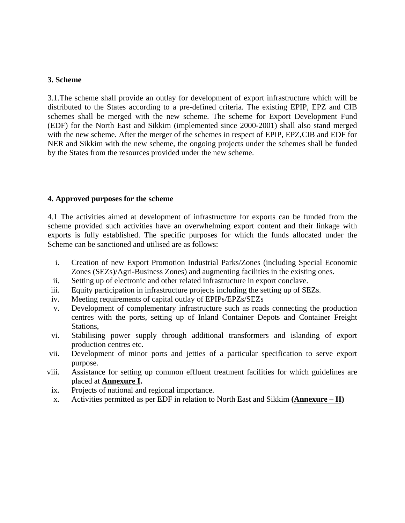### **3. Scheme**

3.1.The scheme shall provide an outlay for development of export infrastructure which will be distributed to the States according to a pre-defined criteria. The existing EPIP, EPZ and CIB schemes shall be merged with the new scheme. The scheme for Export Development Fund (EDF) for the North East and Sikkim (implemented since 2000-2001) shall also stand merged with the new scheme. After the merger of the schemes in respect of EPIP, EPZ,CIB and EDF for NER and Sikkim with the new scheme, the ongoing projects under the schemes shall be funded by the States from the resources provided under the new scheme.

### **4. Approved purposes for the scheme**

4.1 The activities aimed at development of infrastructure for exports can be funded from the scheme provided such activities have an overwhelming export content and their linkage with exports is fully established. The specific purposes for which the funds allocated under the Scheme can be sanctioned and utilised are as follows:

- i. Creation of new Export Promotion Industrial Parks/Zones (including Special Economic Zones (SEZs)/Agri-Business Zones) and augmenting facilities in the existing ones.
- ii. Setting up of electronic and other related infrastructure in export conclave.
- iii. Equity participation in infrastructure projects including the setting up of SEZs.
- iv. Meeting requirements of capital outlay of EPIPs/EPZs/SEZs
- v. Development of complementary infrastructure such as roads connecting the production centres with the ports, setting up of Inland Container Depots and Container Freight Stations,
- vi. Stabilising power supply through additional transformers and islanding of export production centres etc.
- vii. Development of minor ports and jetties of a particular specification to serve export purpose.
- viii. Assistance for setting up common effluent treatment facilities for which guidelines are placed at **Annexure I.**
- ix. Projects of national and regional importance.
- x. Activities permitted as per EDF in relation to North East and Sikkim **(Annexure II)**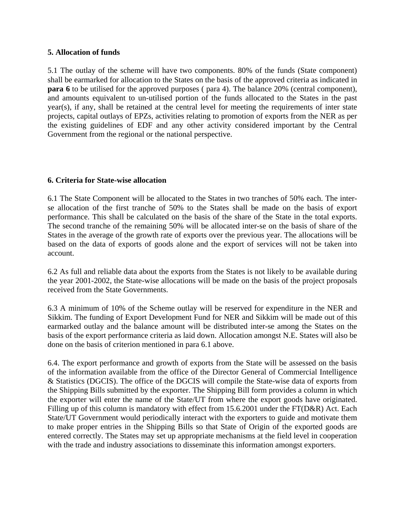### **5. Allocation of funds**

5.1 The outlay of the scheme will have two components. 80% of the funds (State component) shall be earmarked for allocation to the States on the basis of the approved criteria as indicated in **para 6** to be utilised for the approved purposes ( para 4). The balance 20% (central component), and amounts equivalent to un-utilised portion of the funds allocated to the States in the past year(s), if any, shall be retained at the central level for meeting the requirements of inter state projects, capital outlays of EPZs, activities relating to promotion of exports from the NER as per the existing guidelines of EDF and any other activity considered important by the Central Government from the regional or the national perspective.

### **6. Criteria for State-wise allocation**

6.1 The State Component will be allocated to the States in two tranches of 50% each. The interse allocation of the first tranche of 50% to the States shall be made on the basis of export performance. This shall be calculated on the basis of the share of the State in the total exports. The second tranche of the remaining 50% will be allocated inter-se on the basis of share of the States in the average of the growth rate of exports over the previous year. The allocations will be based on the data of exports of goods alone and the export of services will not be taken into account.

6.2 As full and reliable data about the exports from the States is not likely to be available during the year 2001-2002, the State-wise allocations will be made on the basis of the project proposals received from the State Governments.

6.3 A minimum of 10% of the Scheme outlay will be reserved for expenditure in the NER and Sikkim. The funding of Export Development Fund for NER and Sikkim will be made out of this earmarked outlay and the balance amount will be distributed inter-se among the States on the basis of the export performance criteria as laid down. Allocation amongst N.E. States will also be done on the basis of criterion mentioned in para 6.1 above.

6.4. The export performance and growth of exports from the State will be assessed on the basis of the information available from the office of the Director General of Commercial Intelligence & Statistics (DGCIS). The office of the DGCIS will compile the State-wise data of exports from the Shipping Bills submitted by the exporter. The Shipping Bill form provides a column in which the exporter will enter the name of the State/UT from where the export goods have originated. Filling up of this column is mandatory with effect from 15.6.2001 under the FT(D&R) Act. Each State/UT Government would periodically interact with the exporters to guide and motivate them to make proper entries in the Shipping Bills so that State of Origin of the exported goods are entered correctly. The States may set up appropriate mechanisms at the field level in cooperation with the trade and industry associations to disseminate this information amongst exporters.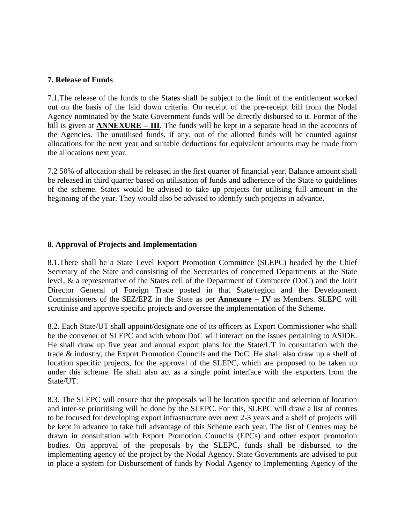### **7. Release of Funds**

7.1.The release of the funds to the States shall be subject to the limit of the entitlement worked out on the basis of the laid down criteria. On receipt of the pre-receipt bill from the Nodal Agency nominated by the State Government funds will be directly disbursed to it. Format of the bill is given at **ANNEXURE – III**. The funds will be kept in a separate head in the accounts of the Agencies. The unutilised funds, if any, out of the allotted funds will be counted against allocations for the next year and suitable deductions for equivalent amounts may be made from the allocations next year.

7.2 50% of allocation shall be released in the first quarter of financial year. Balance amount shall be released in third quarter based on utilisation of funds and adherence of the State to guidelines of the scheme. States would be advised to take up projects for utilising full amount in the beginning of the year. They would also be advised to identify such projects in advance.

### **8. Approval of Projects and Implementation**

8.1.There shall be a State Level Export Promotion Committee (SLEPC) headed by the Chief Secretary of the State and consisting of the Secretaries of concerned Departments at the State level, & a representative of the States cell of the Department of Commerce (DoC) and the Joint Director General of Foreign Trade posted in that State/region and the Development Commissioners of the SEZ/EPZ in the State as per **Annexure – IV** as Members. SLEPC will scrutinise and approve specific projects and oversee the implementation of the Scheme.

8.2. Each State/UT shall appoint/designate one of its officers as Export Commissioner who shall be the convener of SLEPC and with whom DoC will interact on the issues pertaining to ASIDE. He shall draw up five year and annual export plans for the State/UT in consultation with the trade & industry, the Export Promotion Councils and the DoC. He shall also draw up a shelf of location specific projects, for the approval of the SLEPC, which are proposed to be taken up under this scheme. He shall also act as a single point interface with the exporters from the State/UT.

8.3. The SLEPC will ensure that the proposals will be location specific and selection of location and inter-se prioritising will be done by the SLEPC. For this, SLEPC will draw a list of centres to be focused for developing export infrastructure over next 2-3 years and a shelf of projects will be kept in advance to take full advantage of this Scheme each year. The list of Centres may be drawn in consultation with Export Promotion Councils (EPCs) and other export promotion bodies. On approval of the proposals by the SLEPC, funds shall be disbursed to the implementing agency of the project by the Nodal Agency. State Governments are advised to put in place a system for Disbursement of funds by Nodal Agency to Implementing Agency of the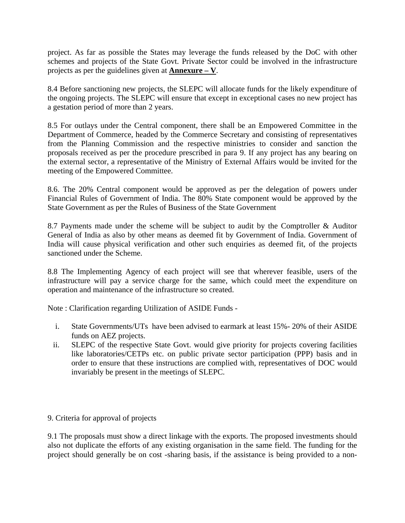project. As far as possible the States may leverage the funds released by the DoC with other schemes and projects of the State Govt. Private Sector could be involved in the infrastructure projects as per the guidelines given at **Annexure – V**.

8.4 Before sanctioning new projects, the SLEPC will allocate funds for the likely expenditure of the ongoing projects. The SLEPC will ensure that except in exceptional cases no new project has a gestation period of more than 2 years.

8.5 For outlays under the Central component, there shall be an Empowered Committee in the Department of Commerce, headed by the Commerce Secretary and consisting of representatives from the Planning Commission and the respective ministries to consider and sanction the proposals received as per the procedure prescribed in para 9. If any project has any bearing on the external sector, a representative of the Ministry of External Affairs would be invited for the meeting of the Empowered Committee.

8.6. The 20% Central component would be approved as per the delegation of powers under Financial Rules of Government of India. The 80% State component would be approved by the State Government as per the Rules of Business of the State Government

8.7 Payments made under the scheme will be subject to audit by the Comptroller & Auditor General of India as also by other means as deemed fit by Government of India. Government of India will cause physical verification and other such enquiries as deemed fit, of the projects sanctioned under the Scheme.

8.8 The Implementing Agency of each project will see that wherever feasible, users of the infrastructure will pay a service charge for the same, which could meet the expenditure on operation and maintenance of the infrastructure so created.

Note : Clarification regarding Utilization of ASIDE Funds -

- i. State Governments/UTs have been advised to earmark at least 15%- 20% of their ASIDE funds on AEZ projects.
- ii. SLEPC of the respective State Govt. would give priority for projects covering facilities like laboratories/CETPs etc. on public private sector participation (PPP) basis and in order to ensure that these instructions are complied with, representatives of DOC would invariably be present in the meetings of SLEPC.

### 9. Criteria for approval of projects

9.1 The proposals must show a direct linkage with the exports. The proposed investments should also not duplicate the efforts of any existing organisation in the same field. The funding for the project should generally be on cost -sharing basis, if the assistance is being provided to a non-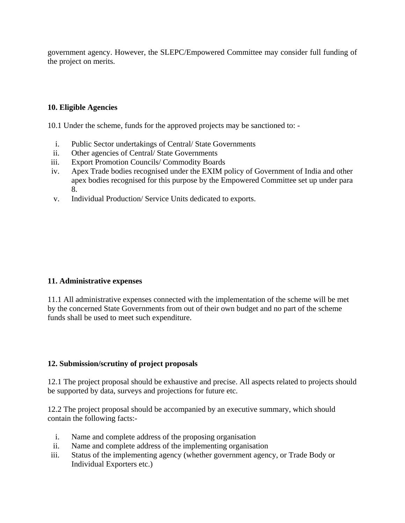government agency. However, the SLEPC/Empowered Committee may consider full funding of the project on merits.

### **10. Eligible Agencies**

10.1 Under the scheme, funds for the approved projects may be sanctioned to: -

- i. Public Sector undertakings of Central/ State Governments
- ii. Other agencies of Central/ State Governments
- iii. Export Promotion Councils/ Commodity Boards
- iv. Apex Trade bodies recognised under the EXIM policy of Government of India and other apex bodies recognised for this purpose by the Empowered Committee set up under para 8.
- v. Individual Production/ Service Units dedicated to exports.

### **11. Administrative expenses**

11.1 All administrative expenses connected with the implementation of the scheme will be met by the concerned State Governments from out of their own budget and no part of the scheme funds shall be used to meet such expenditure.

### **12. Submission/scrutiny of project proposals**

12.1 The project proposal should be exhaustive and precise. All aspects related to projects should be supported by data, surveys and projections for future etc.

12.2 The project proposal should be accompanied by an executive summary, which should contain the following facts:-

- i. Name and complete address of the proposing organisation
- ii. Name and complete address of the implementing organisation
- iii. Status of the implementing agency (whether government agency, or Trade Body or Individual Exporters etc.)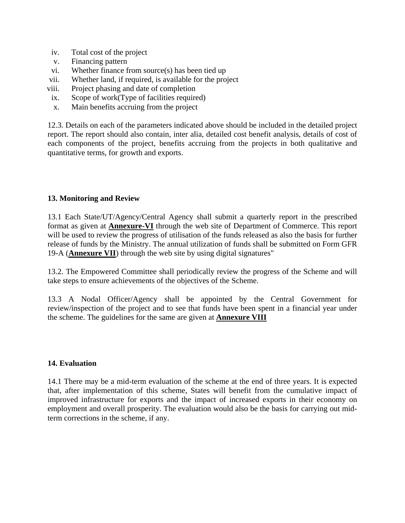- iv. Total cost of the project
- v. Financing pattern
- vi. Whether finance from source(s) has been tied up
- vii. Whether land, if required, is available for the project
- viii. Project phasing and date of completion
- ix. Scope of work(Type of facilities required)
- x. Main benefits accruing from the project

12.3. Details on each of the parameters indicated above should be included in the detailed project report. The report should also contain, inter alia, detailed cost benefit analysis, details of cost of each components of the project, benefits accruing from the projects in both qualitative and quantitative terms, for growth and exports.

### **13. Monitoring and Review**

13.1 Each State/UT/Agency/Central Agency shall submit a quarterly report in the prescribed format as given at **Annexure-VI** through the web site of Department of Commerce. This report will be used to review the progress of utilisation of the funds released as also the basis for further release of funds by the Ministry. The annual utilization of funds shall be submitted on Form GFR 19-A (**Annexure VII**) through the web site by using digital signatures"

13.2. The Empowered Committee shall periodically review the progress of the Scheme and will take steps to ensure achievements of the objectives of the Scheme.

13.3 A Nodal Officer/Agency shall be appointed by the Central Government for review/inspection of the project and to see that funds have been spent in a financial year under the scheme. The guidelines for the same are given at **Annexure VIII**

### **14. Evaluation**

14.1 There may be a mid-term evaluation of the scheme at the end of three years. It is expected that, after implementation of this scheme, States will benefit from the cumulative impact of improved infrastructure for exports and the impact of increased exports in their economy on employment and overall prosperity. The evaluation would also be the basis for carrying out midterm corrections in the scheme, if any.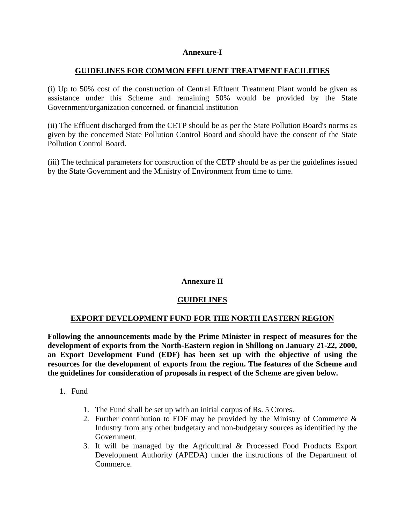### **Annexure-I**

### **GUIDELINES FOR COMMON EFFLUENT TREATMENT FACILITIES**

(i) Up to 50% cost of the construction of Central Effluent Treatment Plant would be given as assistance under this Scheme and remaining 50% would be provided by the State Government/organization concerned. or financial institution

(ii) The Effluent discharged from the CETP should be as per the State Pollution Board's norms as given by the concerned State Pollution Control Board and should have the consent of the State Pollution Control Board.

(iii) The technical parameters for construction of the CETP should be as per the guidelines issued by the State Government and the Ministry of Environment from time to time.

### **Annexure II**

### **GUIDELINES**

### **EXPORT DEVELOPMENT FUND FOR THE NORTH EASTERN REGION**

**Following the announcements made by the Prime Minister in respect of measures for the development of exports from the North-Eastern region in Shillong on January 21-22, 2000, an Export Development Fund (EDF) has been set up with the objective of using the resources for the development of exports from the region. The features of the Scheme and the guidelines for consideration of proposals in respect of the Scheme are given below.** 

- 1. Fund
	- 1. The Fund shall be set up with an initial corpus of Rs. 5 Crores.
	- 2. Further contribution to EDF may be provided by the Ministry of Commerce  $\&$ Industry from any other budgetary and non-budgetary sources as identified by the Government.
	- 3. It will be managed by the Agricultural & Processed Food Products Export Development Authority (APEDA) under the instructions of the Department of Commerce.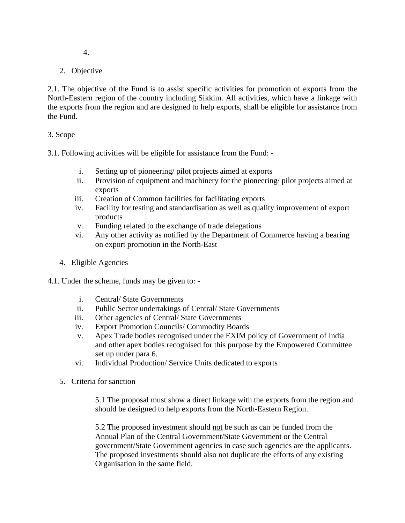- 4.
- 2. Objective

2.1. The objective of the Fund is to assist specific activities for promotion of exports from the North-Eastern region of the country including Sikkim. All activities, which have a linkage with the exports from the region and are designed to help exports, shall be eligible for assistance from the Fund.

### 3. Scope

3.1. Following activities will be eligible for assistance from the Fund: -

- i. Setting up of pioneering/ pilot projects aimed at exports
- ii. Provision of equipment and machinery for the pioneering/ pilot projects aimed at exports
- iii. Creation of Common facilities for facilitating exports
- iv. Facility for testing and standardisation as well as quality improvement of export products
- v. Funding related to the exchange of trade delegations
- vi. Any other activity as notified by the Department of Commerce having a bearing on export promotion in the North-East
- 4. Eligible Agencies
- 4.1. Under the scheme, funds may be given to:
	- i. Central/ State Governments
	- ii. Public Sector undertakings of Central/ State Governments
	- iii. Other agencies of Central/ State Governments
	- iv. Export Promotion Councils/ Commodity Boards
	- v. Apex Trade bodies recognised under the EXIM policy of Government of India and other apex bodies recognised for this purpose by the Empowered Committee set up under para 6.
	- vi. Individual Production/ Service Units dedicated to exports
	- 5. Criteria for sanction

5.1 The proposal must show a direct linkage with the exports from the region and should be designed to help exports from the North-Eastern Region..

5.2 The proposed investment should not be such as can be funded from the Annual Plan of the Central Government/State Government or the Central government/State Government agencies in case such agencies are the applicants. The proposed investments should also not duplicate the efforts of any existing Organisation in the same field.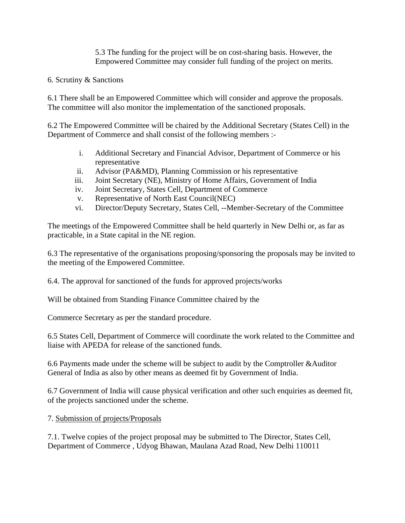5.3 The funding for the project will be on cost-sharing basis. However, the Empowered Committee may consider full funding of the project on merits.

### 6. Scrutiny & Sanctions

6.1 There shall be an Empowered Committee which will consider and approve the proposals. The committee will also monitor the implementation of the sanctioned proposals.

6.2 The Empowered Committee will be chaired by the Additional Secretary (States Cell) in the Department of Commerce and shall consist of the following members :-

- i. Additional Secretary and Financial Advisor, Department of Commerce or his representative
- ii. Advisor (PA&MD), Planning Commission or his representative
- iii. Joint Secretary (NE), Ministry of Home Affairs, Government of India
- iv. Joint Secretary, States Cell, Department of Commerce
- v. Representative of North East Council(NEC)
- vi. Director/Deputy Secretary, States Cell, --Member-Secretary of the Committee

The meetings of the Empowered Committee shall be held quarterly in New Delhi or, as far as practicable, in a State capital in the NE region.

6.3 The representative of the organisations proposing/sponsoring the proposals may be invited to the meeting of the Empowered Committee.

6.4. The approval for sanctioned of the funds for approved projects/works

Will be obtained from Standing Finance Committee chaired by the

Commerce Secretary as per the standard procedure.

6.5 States Cell, Department of Commerce will coordinate the work related to the Committee and liaise with APEDA for release of the sanctioned funds.

6.6 Payments made under the scheme will be subject to audit by the Comptroller &Auditor General of India as also by other means as deemed fit by Government of India.

6.7 Government of India will cause physical verification and other such enquiries as deemed fit, of the projects sanctioned under the scheme.

7. Submission of projects/Proposals

7.1. Twelve copies of the project proposal may be submitted to The Director, States Cell, Department of Commerce , Udyog Bhawan, Maulana Azad Road, New Delhi 110011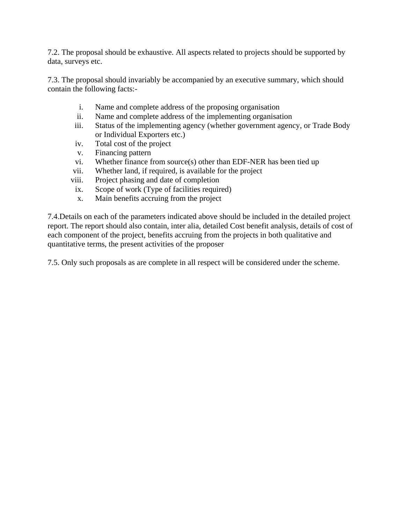7.2. The proposal should be exhaustive. All aspects related to projects should be supported by data, surveys etc.

7.3. The proposal should invariably be accompanied by an executive summary, which should contain the following facts:-

- i. Name and complete address of the proposing organisation
- ii. Name and complete address of the implementing organisation
- iii. Status of the implementing agency (whether government agency, or Trade Body or Individual Exporters etc.)
- iv. Total cost of the project
- v. Financing pattern
- vi. Whether finance from source(s) other than EDF-NER has been tied up
- vii. Whether land, if required, is available for the project
- viii. Project phasing and date of completion
- ix. Scope of work (Type of facilities required)
- x. Main benefits accruing from the project

7.4.Details on each of the parameters indicated above should be included in the detailed project report. The report should also contain, inter alia, detailed Cost benefit analysis, details of cost of each component of the project, benefits accruing from the projects in both qualitative and quantitative terms, the present activities of the proposer

7.5. Only such proposals as are complete in all respect will be considered under the scheme.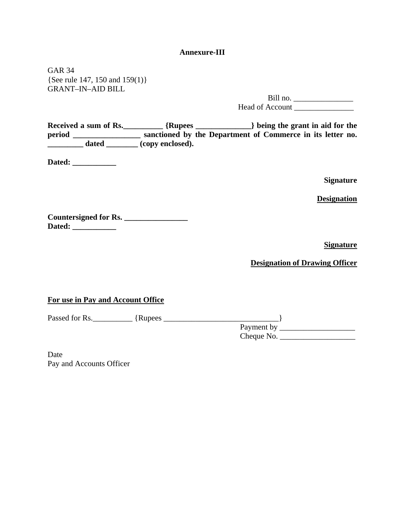### **Annexure-III**

GAR 34 {See rule 147, 150 and 159(1)} GRANT–IN–AID BILL

> Bill no. \_\_\_\_\_\_\_\_\_\_\_\_\_\_\_ Head of Account

Received a sum of Rs. \_\_\_\_\_\_\_\_\_\_ {Rupees \_\_\_\_\_\_\_\_\_\_\_\_\_} being the grant in aid for the **period \_\_\_\_\_\_\_\_\_\_\_\_\_\_\_\_\_ sanctioned by the Department of Commerce in its letter no.**  dated **\_\_\_\_\_** (copy enclosed).

**Dated: \_\_\_\_\_\_\_\_\_\_\_** 

**Signature** 

**Designation**

**Countersigned for Rs. \_\_\_\_\_\_\_\_\_\_\_\_\_\_\_\_ Dated: \_\_\_\_\_\_\_\_\_\_\_** 

**Signature**

**Designation of Drawing Officer**

**For use in Pay and Account Office**

Passed for Rs.\_\_\_\_\_\_\_\_\_\_ {Rupees \_\_\_\_\_\_\_\_\_\_\_\_\_\_\_\_\_\_\_\_\_\_\_\_\_\_\_\_\_}

 $\frac{1}{\text{Payment by}}$ Cheque No. \_\_\_\_\_\_\_\_\_\_\_\_\_\_\_\_\_\_\_

Date Pay and Accounts Officer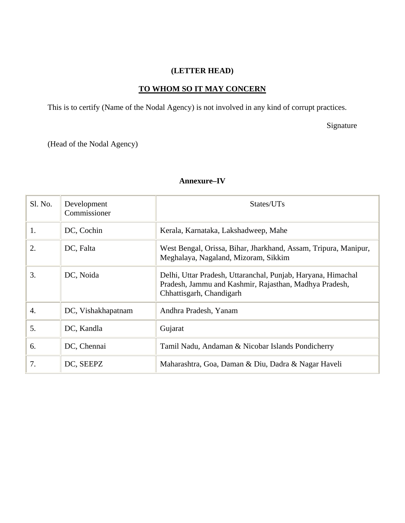# **(LETTER HEAD)**

## **TO WHOM SO IT MAY CONCERN**

This is to certify (Name of the Nodal Agency) is not involved in any kind of corrupt practices.

Signature

(Head of the Nodal Agency)

| Sl. No. | Development<br>Commissioner | States/UTs                                                                                                                                         |  |  |
|---------|-----------------------------|----------------------------------------------------------------------------------------------------------------------------------------------------|--|--|
| 1.      | DC, Cochin                  | Kerala, Karnataka, Lakshadweep, Mahe                                                                                                               |  |  |
| 2.      | DC, Falta                   | West Bengal, Orissa, Bihar, Jharkhand, Assam, Tripura, Manipur,<br>Meghalaya, Nagaland, Mizoram, Sikkim                                            |  |  |
| 3.      | DC, Noida                   | Delhi, Uttar Pradesh, Uttaranchal, Punjab, Haryana, Himachal<br>Pradesh, Jammu and Kashmir, Rajasthan, Madhya Pradesh,<br>Chhattisgarh, Chandigarh |  |  |
| 4.      | DC, Vishakhapatnam          | Andhra Pradesh, Yanam                                                                                                                              |  |  |
| 5.      | DC, Kandla                  | Gujarat                                                                                                                                            |  |  |
| 6.      | DC, Chennai                 | Tamil Nadu, Andaman & Nicobar Islands Pondicherry                                                                                                  |  |  |
| 7.      | DC, SEEPZ                   | Maharashtra, Goa, Daman & Diu, Dadra & Nagar Haveli                                                                                                |  |  |

#### **Annexure–IV**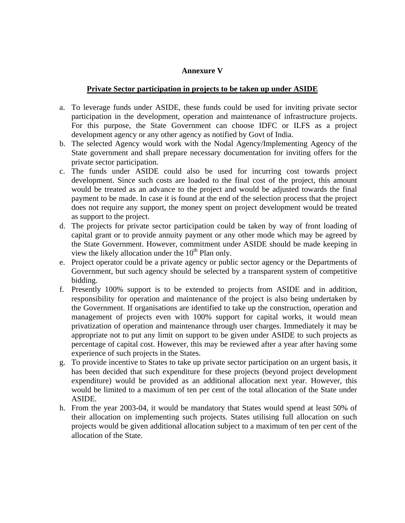### **Annexure V**

### **Private Sector participation in projects to be taken up under ASIDE**

- a. To leverage funds under ASIDE, these funds could be used for inviting private sector participation in the development, operation and maintenance of infrastructure projects. For this purpose, the State Government can choose IDFC or ILFS as a project development agency or any other agency as notified by Govt of India.
- b. The selected Agency would work with the Nodal Agency/Implementing Agency of the State government and shall prepare necessary documentation for inviting offers for the private sector participation.
- c. The funds under ASIDE could also be used for incurring cost towards project development. Since such costs are loaded to the final cost of the project, this amount would be treated as an advance to the project and would be adjusted towards the final payment to be made. In case it is found at the end of the selection process that the project does not require any support, the money spent on project development would be treated as support to the project.
- d. The projects for private sector participation could be taken by way of front loading of capital grant or to provide annuity payment or any other mode which may be agreed by the State Government. However, commitment under ASIDE should be made keeping in view the likely allocation under the  $10<sup>th</sup>$  Plan only.
- e. Project operator could be a private agency or public sector agency or the Departments of Government, but such agency should be selected by a transparent system of competitive bidding.
- f. Presently 100% support is to be extended to projects from ASIDE and in addition, responsibility for operation and maintenance of the project is also being undertaken by the Government. If organisations are identified to take up the construction, operation and management of projects even with 100% support for capital works, it would mean privatization of operation and maintenance through user charges. Immediately it may be appropriate not to put any limit on support to be given under ASIDE to such projects as percentage of capital cost. However, this may be reviewed after a year after having some experience of such projects in the States.
- g. To provide incentive to States to take up private sector participation on an urgent basis, it has been decided that such expenditure for these projects (beyond project development expenditure) would be provided as an additional allocation next year. However, this would be limited to a maximum of ten per cent of the total allocation of the State under ASIDE.
- h. From the year 2003-04, it would be mandatory that States would spend at least 50% of their allocation on implementing such projects. States utilising full allocation on such projects would be given additional allocation subject to a maximum of ten per cent of the allocation of the State.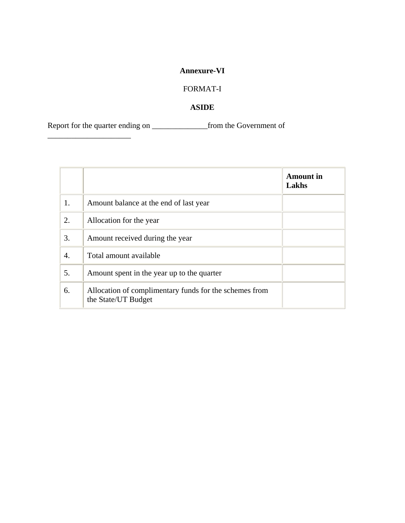# **Annexure-VI**

# FORMAT-I

## **ASIDE**

Report for the quarter ending on \_\_\_\_\_\_\_\_\_\_\_\_\_\_from the Government of

\_\_\_\_\_\_\_\_\_\_\_\_\_\_\_\_\_\_\_\_\_

|    |                                                                               | <b>Amount</b> in<br>Lakhs |
|----|-------------------------------------------------------------------------------|---------------------------|
| 1. | Amount balance at the end of last year                                        |                           |
| 2. | Allocation for the year                                                       |                           |
| 3. | Amount received during the year                                               |                           |
| 4. | Total amount available                                                        |                           |
| 5. | Amount spent in the year up to the quarter                                    |                           |
| 6. | Allocation of complimentary funds for the schemes from<br>the State/UT Budget |                           |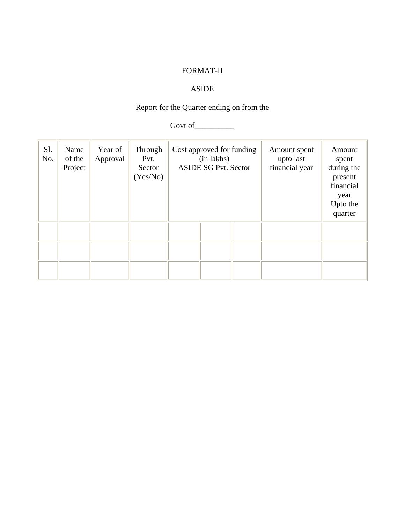# FORMAT-II

# ASIDE

# Report for the Quarter ending on from the

Govt of\_\_\_\_\_\_\_\_\_\_

| Sl.<br>No. | Name<br>of the<br>Project | Year of<br>Approval | Through<br>Pvt.<br>Sector<br>(Yes/No) | Cost approved for funding<br>(in lakhs)<br><b>ASIDE SG Pvt. Sector</b> |  | Amount spent<br>upto last<br>financial year | Amount<br>spent<br>during the<br>present<br>financial<br>year<br>Upto the<br>quarter |  |
|------------|---------------------------|---------------------|---------------------------------------|------------------------------------------------------------------------|--|---------------------------------------------|--------------------------------------------------------------------------------------|--|
|            |                           |                     |                                       |                                                                        |  |                                             |                                                                                      |  |
|            |                           |                     |                                       |                                                                        |  |                                             |                                                                                      |  |
|            |                           |                     |                                       |                                                                        |  |                                             |                                                                                      |  |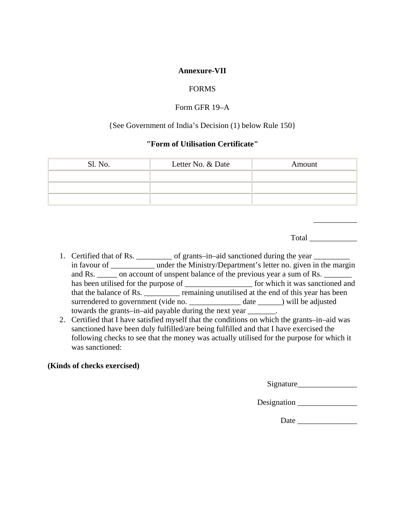### **Annexure-VII**

### FORMS

### Form GFR 19–A

### {See Government of India's Decision (1) below Rule 150}

### **"Form of Utilisation Certificate"**

| Sl. No. | Letter No. & Date | Amount |
|---------|-------------------|--------|
|         |                   |        |
|         |                   |        |
|         |                   |        |

Total \_\_\_\_\_\_\_\_\_\_\_\_

\_\_\_\_\_\_\_\_\_\_\_

- 1. Certified that of Rs. \_\_\_\_\_\_\_\_\_\_ of grants–in–aid sanctioned during the year \_\_\_\_\_\_\_ in favour of \_\_\_\_\_\_\_\_\_\_\_\_ under the Ministry/Department's letter no. given in the margin and Rs. \_\_\_\_\_\_ on account of unspent balance of the previous year a sum of Rs. \_\_\_ has been utilised for the purpose of \_\_\_\_\_\_\_\_\_\_\_\_\_\_\_\_\_\_\_\_\_ for which it was sanctioned and that the balance of Rs. \_\_\_\_\_\_\_\_\_ remaining unutilised at the end of this year has been surrendered to government (vide no. \_\_\_\_\_\_\_\_\_\_\_\_\_\_ date \_\_\_\_\_\_) will be adjusted towards the grants–in–aid payable during the next year \_\_\_\_\_\_\_.
- 2. Certified that I have satisfied myself that the conditions on which the grants–in–aid was sanctioned have been duly fulfilled/are being fulfilled and that I have exercised the following checks to see that the money was actually utilised for the purpose for which it was sanctioned:

### **(Kinds of checks exercised)**

Signature\_\_\_\_\_\_\_\_\_\_\_\_\_\_\_

Designation \_\_\_\_\_\_\_\_\_\_\_\_\_\_\_

Date \_\_\_\_\_\_\_\_\_\_\_\_\_\_\_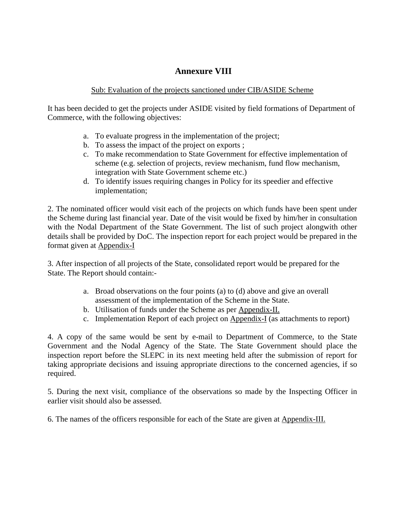# **Annexure VIII**

### Sub: Evaluation of the projects sanctioned under CIB/ASIDE Scheme

It has been decided to get the projects under ASIDE visited by field formations of Department of Commerce, with the following objectives:

- a. To evaluate progress in the implementation of the project;
- b. To assess the impact of the project on exports ;
- c. To make recommendation to State Government for effective implementation of scheme (e.g. selection of projects, review mechanism, fund flow mechanism, integration with State Government scheme etc.)
- d. To identify issues requiring changes in Policy for its speedier and effective implementation;

2. The nominated officer would visit each of the projects on which funds have been spent under the Scheme during last financial year. Date of the visit would be fixed by him/her in consultation with the Nodal Department of the State Government. The list of such project alongwith other details shall be provided by DoC. The inspection report for each project would be prepared in the format given at Appendix-I

3. After inspection of all projects of the State, consolidated report would be prepared for the State. The Report should contain:-

- a. Broad observations on the four points (a) to (d) above and give an overall assessment of the implementation of the Scheme in the State.
- b. Utilisation of funds under the Scheme as per Appendix-II.
- c. Implementation Report of each project on Appendix-I (as attachments to report)

4. A copy of the same would be sent by e-mail to Department of Commerce, to the State Government and the Nodal Agency of the State. The State Government should place the inspection report before the SLEPC in its next meeting held after the submission of report for taking appropriate decisions and issuing appropriate directions to the concerned agencies, if so required.

5. During the next visit, compliance of the observations so made by the Inspecting Officer in earlier visit should also be assessed.

6. The names of the officers responsible for each of the State are given at Appendix-III.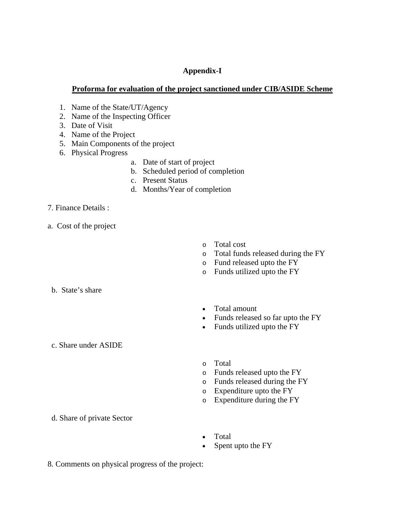## **Appendix-I**

### **Proforma for evaluation of the project sanctioned under CIB/ASIDE Scheme**

- 1. Name of the State/UT/Agency
- 2. Name of the Inspecting Officer
- 3. Date of Visit
- 4. Name of the Project
- 5. Main Components of the project
- 6. Physical Progress
	- a. Date of start of project
	- b. Scheduled period of completion
	- c. Present Status
	- d. Months/Year of completion

### 7. Finance Details :

a. Cost of the project

- o Total cost
- o Total funds released during the FY
- o Fund released upto the FY
- o Funds utilized upto the FY

b. State's share

- Total amount
- Funds released so far upto the FY
- Funds utilized upto the FY

c. Share under ASIDE

- o Total
- o Funds released upto the FY
- o Funds released during the FY
- o Expenditure upto the FY
- o Expenditure during the FY

d. Share of private Sector

- Total
- Spent upto the FY
- 8. Comments on physical progress of the project: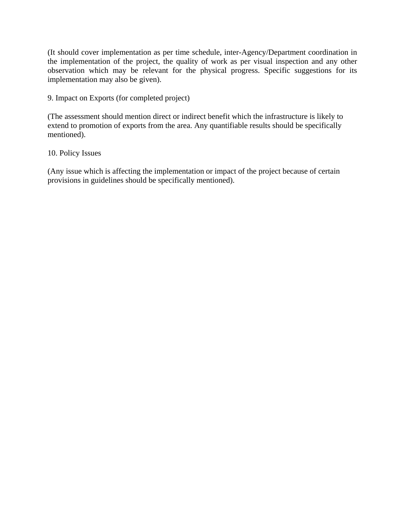(It should cover implementation as per time schedule, inter-Agency/Department coordination in the implementation of the project, the quality of work as per visual inspection and any other observation which may be relevant for the physical progress. Specific suggestions for its implementation may also be given).

9. Impact on Exports (for completed project)

(The assessment should mention direct or indirect benefit which the infrastructure is likely to extend to promotion of exports from the area. Any quantifiable results should be specifically mentioned).

### 10. Policy Issues

(Any issue which is affecting the implementation or impact of the project because of certain provisions in guidelines should be specifically mentioned).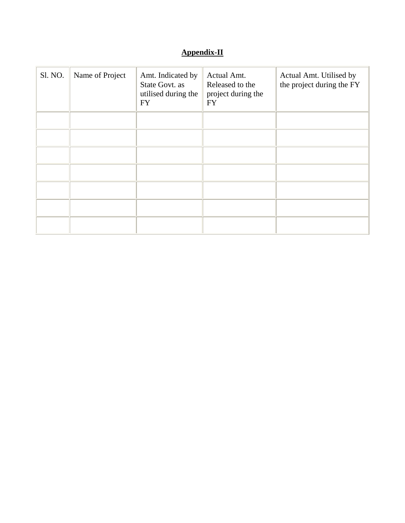# **Appendix-II**

| Sl. NO. | Name of Project | Amt. Indicated by<br>State Govt. as<br>utilised during the<br><b>FY</b> | Actual Amt.<br>Released to the<br>project during the<br><b>FY</b> | Actual Amt. Utilised by<br>the project during the FY |
|---------|-----------------|-------------------------------------------------------------------------|-------------------------------------------------------------------|------------------------------------------------------|
|         |                 |                                                                         |                                                                   |                                                      |
|         |                 |                                                                         |                                                                   |                                                      |
|         |                 |                                                                         |                                                                   |                                                      |
|         |                 |                                                                         |                                                                   |                                                      |
|         |                 |                                                                         |                                                                   |                                                      |
|         |                 |                                                                         |                                                                   |                                                      |
|         |                 |                                                                         |                                                                   |                                                      |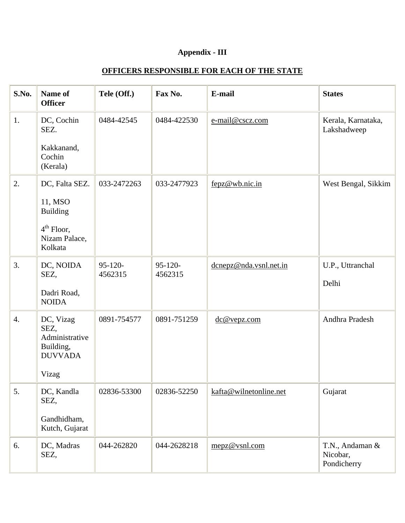# **Appendix - III**

# **OFFICERS RESPONSIBLE FOR EACH OF THE STATE**

| S.No.            | Name of<br><b>Officer</b>                                                                | Tele (Off.)          | Fax No.              | E-mail                 | <b>States</b>                              |
|------------------|------------------------------------------------------------------------------------------|----------------------|----------------------|------------------------|--------------------------------------------|
| 1.               | DC, Cochin<br>SEZ.<br>Kakkanand,<br>Cochin<br>(Kerala)                                   | 0484-42545           | 0484-422530          | e-mail@cscz.com        | Kerala, Karnataka,<br>Lakshadweep          |
| 2.               | DC, Falta SEZ.<br>11, MSO<br><b>Building</b><br>$4th$ Floor,<br>Nizam Palace,<br>Kolkata | 033-2472263          | 033-2477923          | fepz@wb.nic.in         | West Bengal, Sikkim                        |
| 3.               | DC, NOIDA<br>SEZ,<br>Dadri Road,<br><b>NOIDA</b>                                         | $95-120-$<br>4562315 | $95-120-$<br>4562315 | dcnepz@nda.vsnl.net.in | U.P., Uttranchal<br>Delhi                  |
| $\overline{4}$ . | DC, Vizag<br>SEZ,<br>Administrative<br>Building,<br><b>DUVVADA</b><br>Vizag              | 0891-754577          | 0891-751259          | dc@vepz.com            | Andhra Pradesh                             |
| 5.               | DC, Kandla<br>SEZ,<br>Gandhidham,<br>Kutch, Gujarat                                      | 02836-53300          | 02836-52250          | kafta@wilnetonline.net | Gujarat                                    |
| 6.               | DC, Madras<br>SEZ,                                                                       | 044-262820           | 044-2628218          | mepz@vsnl.com          | T.N., Andaman &<br>Nicobar,<br>Pondicherry |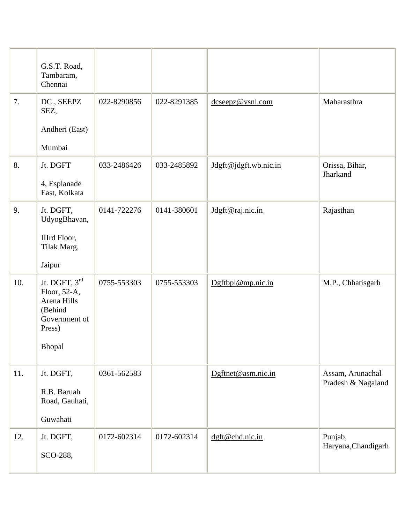|     | G.S.T. Road,<br>Tambaram,<br>Chennai                                                         |             |             |                       |                                        |
|-----|----------------------------------------------------------------------------------------------|-------------|-------------|-----------------------|----------------------------------------|
| 7.  | DC, SEEPZ<br>SEZ,                                                                            | 022-8290856 | 022-8291385 | dcseepz@vsnl.com      | Maharasthra                            |
|     | Andheri (East)                                                                               |             |             |                       |                                        |
|     | Mumbai                                                                                       |             |             |                       |                                        |
| 8.  | Jt. DGFT                                                                                     | 033-2486426 | 033-2485892 | Jdgft@jdgft.wb.nic.in | Orissa, Bihar,<br>Jharkand             |
|     | 4, Esplanade<br>East, Kolkata                                                                |             |             |                       |                                        |
| 9.  | Jt. DGFT,<br>UdyogBhavan,                                                                    | 0141-722276 | 0141-380601 | Jdgft@raj.nic.in      | Rajasthan                              |
|     | IIIrd Floor,<br>Tilak Marg,                                                                  |             |             |                       |                                        |
|     | Jaipur                                                                                       |             |             |                       |                                        |
| 10. | Jt. DGFT, 3rd<br>Floor, 52-A,<br>Arena Hills<br>(Behind<br>Government of<br>Press)<br>Bhopal | 0755-553303 | 0755-553303 | Dgftbpl@mp.nic.in     | M.P., Chhatisgarh                      |
|     |                                                                                              |             |             |                       |                                        |
| 11. | Jt. DGFT,<br>R.B. Baruah<br>Road, Gauhati,                                                   | 0361-562583 |             | Dgftnet@asm.nic.in    | Assam, Arunachal<br>Pradesh & Nagaland |
|     | Guwahati                                                                                     |             |             |                       |                                        |
| 12. | Jt. DGFT,<br>SCO-288,                                                                        | 0172-602314 | 0172-602314 | dgft@chd.nic.in       | Punjab,<br>Haryana, Chandigarh         |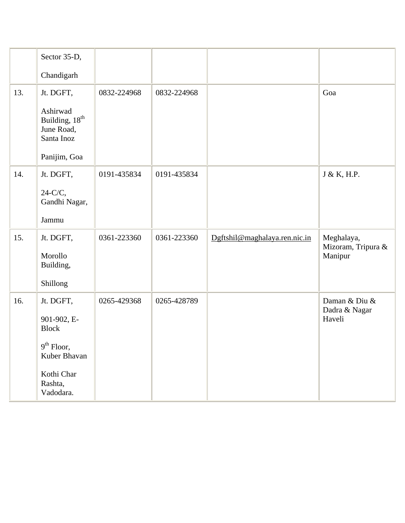|     | Sector 35-D,                                                       |             |             |                               |                                  |
|-----|--------------------------------------------------------------------|-------------|-------------|-------------------------------|----------------------------------|
|     | Chandigarh                                                         |             |             |                               |                                  |
| 13. | Jt. DGFT,                                                          | 0832-224968 | 0832-224968 |                               | Goa                              |
|     | Ashirwad<br>Building, 18 <sup>th</sup><br>June Road,<br>Santa Inoz |             |             |                               |                                  |
|     | Panijim, Goa                                                       |             |             |                               |                                  |
| 14. | Jt. DGFT,                                                          | 0191-435834 | 0191-435834 |                               | J & K, H.P.                      |
|     | $24-C/C$ ,<br>Gandhi Nagar,                                        |             |             |                               |                                  |
|     | Jammu                                                              |             |             |                               |                                  |
| 15. | Jt. DGFT,                                                          | 0361-223360 | 0361-223360 | Dgftshil@maghalaya.ren.nic.in | Meghalaya,<br>Mizoram, Tripura & |
|     | Morollo<br>Building,                                               |             |             |                               | Manipur                          |
|     | Shillong                                                           |             |             |                               |                                  |
| 16. | Jt. DGFT,                                                          | 0265-429368 | 0265-428789 |                               | Daman & Diu &                    |
|     | 901-902, E-<br><b>Block</b>                                        |             |             |                               | Dadra & Nagar<br>Haveli          |
|     | $9^{\text{th}}$ Floor,<br>Kuber Bhavan                             |             |             |                               |                                  |
|     | Kothi Char<br>Rashta,<br>Vadodara.                                 |             |             |                               |                                  |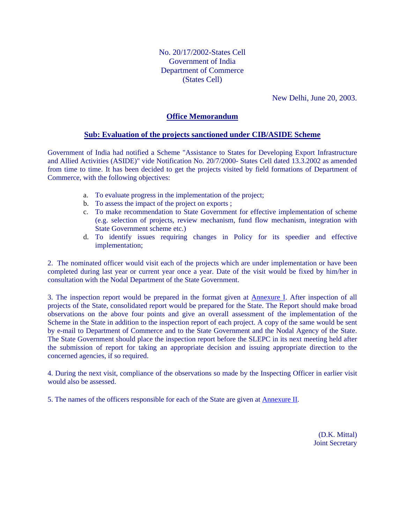No. 20/17/2002-States Cell Government of India Department of Commerce (States Cell)

New Delhi, June 20, 2003.

### **Office Memorandum**

### **Sub: Evaluation of the projects sanctioned under CIB/ASIDE Scheme**

Government of India had notified a Scheme "Assistance to States for Developing Export Infrastructure and Allied Activities (ASIDE)" vide Notification No. 20/7/2000- States Cell dated 13.3.2002 as amended from time to time. It has been decided to get the projects visited by field formations of Department of Commerce, with the following objectives:

- a. To evaluate progress in the implementation of the project;
- b. To assess the impact of the project on exports ;
- c. To make recommendation to State Government for effective implementation of scheme (e.g. selection of projects, review mechanism, fund flow mechanism, integration with State Government scheme etc.)
- d. To identify issues requiring changes in Policy for its speedier and effective implementation;

2. The nominated officer would visit each of the projects which are under implementation or have been completed during last year or current year once a year. Date of the visit would be fixed by him/her in consultation with the Nodal Department of the State Government.

3. The inspection report would be prepared in the format given at Annexure I. After inspection of all projects of the State, consolidated report would be prepared for the State. The Report should make broad observations on the above four points and give an overall assessment of the implementation of the Scheme in the State in addition to the inspection report of each project. A copy of the same would be sent by e-mail to Department of Commerce and to the State Government and the Nodal Agency of the State. The State Government should place the inspection report before the SLEPC in its next meeting held after the submission of report for taking an appropriate decision and issuing appropriate direction to the concerned agencies, if so required.

4. During the next visit, compliance of the observations so made by the Inspecting Officer in earlier visit would also be assessed.

5. The names of the officers responsible for each of the State are given at Annexure II.

(D.K. Mittal) Joint Secretary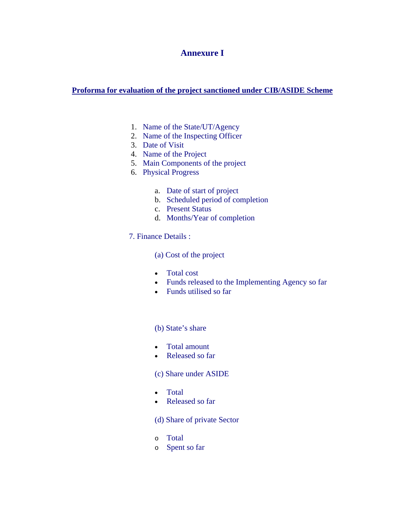## **Annexure I**

### **Proforma for evaluation of the project sanctioned under CIB/ASIDE Scheme**

- 1. Name of the State/UT/Agency
- 2. Name of the Inspecting Officer
- 3. Date of Visit
- 4. Name of the Project
- 5. Main Components of the project
- 6. Physical Progress
	- a. Date of start of project
	- b. Scheduled period of completion
	- c. Present Status
	- d. Months/Year of completion
- 7. Finance Details :

(a) Cost of the project

- Total cost
- Funds released to the Implementing Agency so far
- Funds utilised so far

### (b) State's share

- Total amount
- Released so far

#### (c) Share under ASIDE

- Total
- Released so far

### (d) Share of private Sector

- o Total
- o Spent so far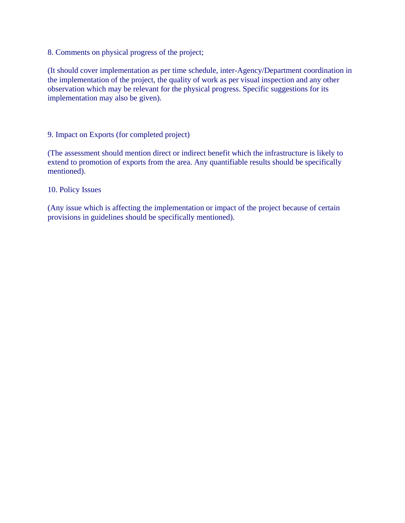8. Comments on physical progress of the project;

(It should cover implementation as per time schedule, inter-Agency/Department coordination in the implementation of the project, the quality of work as per visual inspection and any other observation which may be relevant for the physical progress. Specific suggestions for its implementation may also be given).

9. Impact on Exports (for completed project)

(The assessment should mention direct or indirect benefit which the infrastructure is likely to extend to promotion of exports from the area. Any quantifiable results should be specifically mentioned).

10. Policy Issues

(Any issue which is affecting the implementation or impact of the project because of certain provisions in guidelines should be specifically mentioned).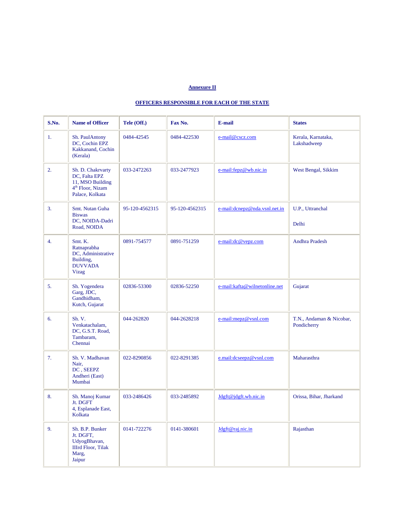#### **Annexure II**

#### **OFFICERS RESPONSIBLE FOR EACH OF THE STATE**

| S.No. | <b>Name of Officer</b>                                                                                    | Tele (Off.)    | Fax No.        | E-mail                        | <b>States</b>                           |
|-------|-----------------------------------------------------------------------------------------------------------|----------------|----------------|-------------------------------|-----------------------------------------|
| 1.    | Sh. PaulAntony<br>DC, Cochin EPZ<br>Kakkanand, Cochin<br>(Kerala)                                         | 0484-42545     | 0484-422530    | e-mail@cscz.com               | Kerala, Karnataka,<br>Lakshadweep       |
| 2.    | Sh. D. Chakrvarty<br>DC, Falta EPZ<br>11, MSO Building<br>4 <sup>th</sup> Floor, Nizam<br>Palace, Kolkata | 033-2472263    | 033-2477923    | e-mail:fepz@wb.nic.in         | West Bengal, Sikkim                     |
| 3.    | Smt. Nutan Guha<br><b>Biswas</b><br>DC, NOIDA-Dadri<br>Road, NOIDA                                        | 95-120-4562315 | 95-120-4562315 | e-mail:dcnepz@nda.vsnl.net.in | U.P., Uttranchal<br>Delhi               |
| 4.    | Smt. K.<br>Ratnaprabha<br>DC, Administrative<br>Building,<br><b>DUVVADA</b><br><b>Vizag</b>               | 0891-754577    | 0891-751259    | e-mail:dc@vepz.com            | Andhra Pradesh                          |
| 5.    | Sh. Yogendera<br>Garg, JDC,<br>Gandhidham,<br>Kutch, Gujarat                                              | 02836-53300    | 02836-52250    | e-mail:kafta@wilnetonline.net | Gujarat                                 |
| 6.    | Sh. V.<br>Venkatachalam,<br>DC, G.S.T. Road,<br>Tambaram,<br>Chennai                                      | 044-262820     | 044-2628218    | e-mail:mepz@vsnl.com          | T.N., Andaman & Nicobar,<br>Pondicherry |
| 7.    | Sh. V. Madhavan<br>Nair,<br>DC, SEEPZ<br>Andheri (East)<br>Mumbai                                         | 022-8290856    | 022-8291385    | e.mail:dcseepz@vsnl.com       | Maharasthra                             |
| 8.    | Sh. Manoj Kumar<br>Jt. DGFT<br>4, Esplanade East,<br>Kolkata                                              | 033-2486426    | 033-2485892    | Jdgft@jdgft.wb.nic.in         | Orissa, Bihar, Jharkand                 |
| 9.    | Sh. B.P. Bunker<br>Jt. DGFT,<br>UdyogBhavan,<br><b>IIIrd Floor</b> , Tilak<br>Marg,<br>Jaipur             | 0141-722276    | 0141-380601    | Jdgft@raj.nic.in              | Rajasthan                               |